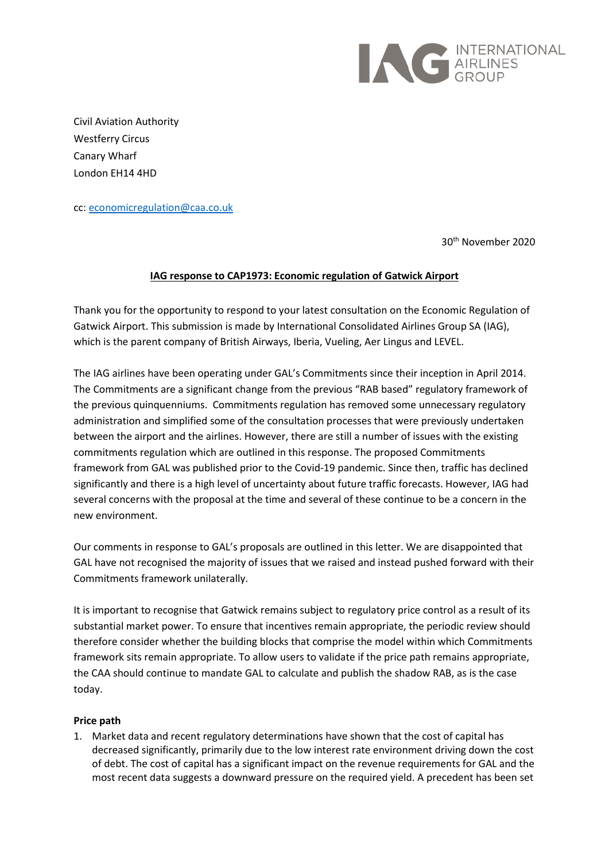

Civil Aviation Authority Westferry Circus Canary Wharf London EH14 4HD

cc: economicregulation@caa.co.uk

30th November 2020

## **IAG response to CAP1973: Economic regulation of Gatwick Airport**

Thank you for the opportunity to respond to your latest consultation on the Economic Regulation of Gatwick Airport. This submission is made by International Consolidated Airlines Group SA (IAG), which is the parent company of British Airways, Iberia, Vueling, Aer Lingus and LEVEL.

The IAG airlines have been operating under GAL's Commitments since their inception in April 2014. The Commitments are a significant change from the previous "RAB based" regulatory framework of the previous quinquenniums. Commitments regulation has removed some unnecessary regulatory administration and simplified some of the consultation processes that were previously undertaken between the airport and the airlines. However, there are still a number of issues with the existing commitments regulation which are outlined in this response. The proposed Commitments framework from GAL was published prior to the Covid-19 pandemic. Since then, traffic has declined significantly and there is a high level of uncertainty about future traffic forecasts. However, IAG had several concerns with the proposal at the time and several of these continue to be a concern in the new environment.

Our comments in response to GAL's proposals are outlined in this letter. We are disappointed that GAL have not recognised the majority of issues that we raised and instead pushed forward with their Commitments framework unilaterally.

It is important to recognise that Gatwick remains subject to regulatory price control as a result of its substantial market power. To ensure that incentives remain appropriate, the periodic review should therefore consider whether the building blocks that comprise the model within which Commitments framework sits remain appropriate. To allow users to validate if the price path remains appropriate, the CAA should continue to mandate GAL to calculate and publish the shadow RAB, as is the case today.

## **Price path**

1. Market data and recent regulatory determinations have shown that the cost of capital has decreased significantly, primarily due to the low interest rate environment driving down the cost of debt. The cost of capital has a significant impact on the revenue requirements for GAL and the most recent data suggests a downward pressure on the required yield. A precedent has been set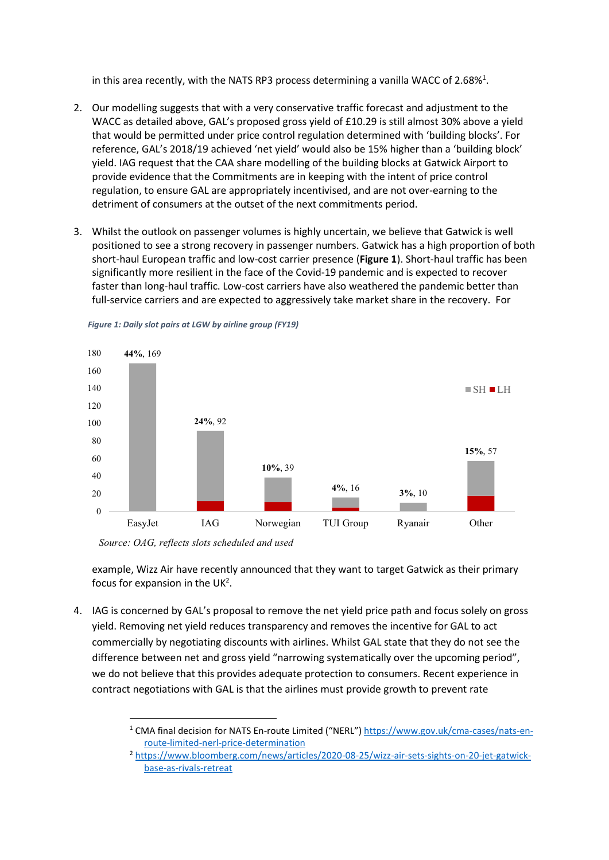in this area recently, with the NATS RP3 process determining a vanilla WACC of 2.68%<sup>1</sup>.

- 2. Our modelling suggests that with a very conservative traffic forecast and adjustment to the WACC as detailed above, GAL's proposed gross yield of £10.29 is still almost 30% above a yield that would be permitted under price control regulation determined with 'building blocks'. For reference, GAL's 2018/19 achieved 'net yield' would also be 15% higher than a 'building block' yield. IAG request that the CAA share modelling of the building blocks at Gatwick Airport to provide evidence that the Commitments are in keeping with the intent of price control regulation, to ensure GAL are appropriately incentivised, and are not over-earning to the detriment of consumers at the outset of the next commitments period.
- 3. Whilst the outlook on passenger volumes is highly uncertain, we believe that Gatwick is well positioned to see a strong recovery in passenger numbers. Gatwick has a high proportion of both short-haul European traffic and low-cost carrier presence (**Figure 1**). Short-haul traffic has been significantly more resilient in the face of the Covid-19 pandemic and is expected to recover faster than long-haul traffic. Low-cost carriers have also weathered the pandemic better than full-service carriers and are expected to aggressively take market share in the recovery. For



*Figure 1: Daily slot pairs at LGW by airline group (FY19)*

*Source: OAG, reflects slots scheduled and used*

example, Wizz Air have recently announced that they want to target Gatwick as their primary focus for expansion in the UK<sup>2</sup>.

4. IAG is concerned by GAL's proposal to remove the net yield price path and focus solely on gross yield. Removing net yield reduces transparency and removes the incentive for GAL to act commercially by negotiating discounts with airlines. Whilst GAL state that they do not see the difference between net and gross yield "narrowing systematically over the upcoming period", we do not believe that this provides adequate protection to consumers. Recent experience in contract negotiations with GAL is that the airlines must provide growth to prevent rate

<sup>1</sup> CMA final decision for NATS En-route Limited ("NERL") https://www.gov.uk/cma-cases/nats-enroute-limited-nerl-price-determination

<sup>2</sup> https://www.bloomberg.com/news/articles/2020-08-25/wizz-air-sets-sights-on-20-jet-gatwickbase-as-rivals-retreat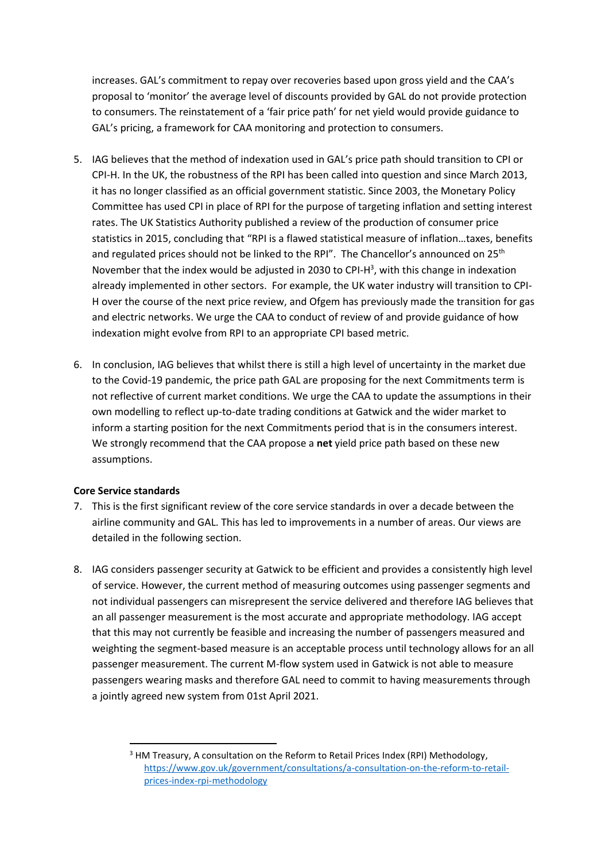increases. GAL's commitment to repay over recoveries based upon gross yield and the CAA's proposal to 'monitor' the average level of discounts provided by GAL do not provide protection to consumers. The reinstatement of a 'fair price path' for net yield would provide guidance to GAL's pricing, a framework for CAA monitoring and protection to consumers.

- 5. IAG believes that the method of indexation used in GAL's price path should transition to CPI or CPI-H. In the UK, the robustness of the RPI has been called into question and since March 2013, it has no longer classified as an official government statistic. Since 2003, the Monetary Policy Committee has used CPI in place of RPI for the purpose of targeting inflation and setting interest rates. The UK Statistics Authority published a review of the production of consumer price statistics in 2015, concluding that "RPI is a flawed statistical measure of inflation…taxes, benefits and regulated prices should not be linked to the RPI". The Chancellor's announced on 25<sup>th</sup> November that the index would be adjusted in 2030 to CPI-H<sup>3</sup>, with this change in indexation already implemented in other sectors. For example, the UK water industry will transition to CPI-H over the course of the next price review, and Ofgem has previously made the transition for gas and electric networks. We urge the CAA to conduct of review of and provide guidance of how indexation might evolve from RPI to an appropriate CPI based metric.
- 6. In conclusion, IAG believes that whilst there is still a high level of uncertainty in the market due to the Covid-19 pandemic, the price path GAL are proposing for the next Commitments term is not reflective of current market conditions. We urge the CAA to update the assumptions in their own modelling to reflect up-to-date trading conditions at Gatwick and the wider market to inform a starting position for the next Commitments period that is in the consumers interest. We strongly recommend that the CAA propose a **net** yield price path based on these new assumptions.

## **Core Service standards**

- 7. This is the first significant review of the core service standards in over a decade between the airline community and GAL. This has led to improvements in a number of areas. Our views are detailed in the following section.
- 8. IAG considers passenger security at Gatwick to be efficient and provides a consistently high level of service. However, the current method of measuring outcomes using passenger segments and not individual passengers can misrepresent the service delivered and therefore IAG believes that an all passenger measurement is the most accurate and appropriate methodology. IAG accept that this may not currently be feasible and increasing the number of passengers measured and weighting the segment-based measure is an acceptable process until technology allows for an all passenger measurement. The current M-flow system used in Gatwick is not able to measure passengers wearing masks and therefore GAL need to commit to having measurements through a jointly agreed new system from 01st April 2021.

<sup>&</sup>lt;sup>3</sup> HM Treasury, A consultation on the Reform to Retail Prices Index (RPI) Methodology, https://www.gov.uk/government/consultations/a-consultation-on-the-reform-to-retailprices-index-rpi-methodology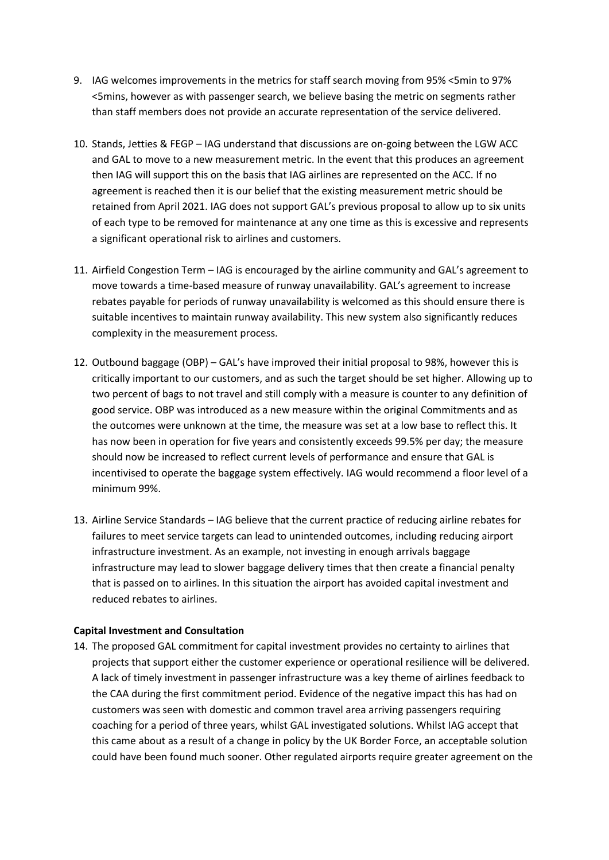- 9. IAG welcomes improvements in the metrics for staff search moving from 95% <5min to 97% <5mins, however as with passenger search, we believe basing the metric on segments rather than staff members does not provide an accurate representation of the service delivered.
- 10. Stands, Jetties & FEGP IAG understand that discussions are on-going between the LGW ACC and GAL to move to a new measurement metric. In the event that this produces an agreement then IAG will support this on the basis that IAG airlines are represented on the ACC. If no agreement is reached then it is our belief that the existing measurement metric should be retained from April 2021. IAG does not support GAL's previous proposal to allow up to six units of each type to be removed for maintenance at any one time as this is excessive and represents a significant operational risk to airlines and customers.
- 11. Airfield Congestion Term IAG is encouraged by the airline community and GAL's agreement to move towards a time-based measure of runway unavailability. GAL's agreement to increase rebates payable for periods of runway unavailability is welcomed as this should ensure there is suitable incentives to maintain runway availability. This new system also significantly reduces complexity in the measurement process.
- 12. Outbound baggage (OBP) GAL's have improved their initial proposal to 98%, however this is critically important to our customers, and as such the target should be set higher. Allowing up to two percent of bags to not travel and still comply with a measure is counter to any definition of good service. OBP was introduced as a new measure within the original Commitments and as the outcomes were unknown at the time, the measure was set at a low base to reflect this. It has now been in operation for five years and consistently exceeds 99.5% per day; the measure should now be increased to reflect current levels of performance and ensure that GAL is incentivised to operate the baggage system effectively. IAG would recommend a floor level of a minimum 99%.
- 13. Airline Service Standards IAG believe that the current practice of reducing airline rebates for failures to meet service targets can lead to unintended outcomes, including reducing airport infrastructure investment. As an example, not investing in enough arrivals baggage infrastructure may lead to slower baggage delivery times that then create a financial penalty that is passed on to airlines. In this situation the airport has avoided capital investment and reduced rebates to airlines.

## **Capital Investment and Consultation**

14. The proposed GAL commitment for capital investment provides no certainty to airlines that projects that support either the customer experience or operational resilience will be delivered. A lack of timely investment in passenger infrastructure was a key theme of airlines feedback to the CAA during the first commitment period. Evidence of the negative impact this has had on customers was seen with domestic and common travel area arriving passengers requiring coaching for a period of three years, whilst GAL investigated solutions. Whilst IAG accept that this came about as a result of a change in policy by the UK Border Force, an acceptable solution could have been found much sooner. Other regulated airports require greater agreement on the